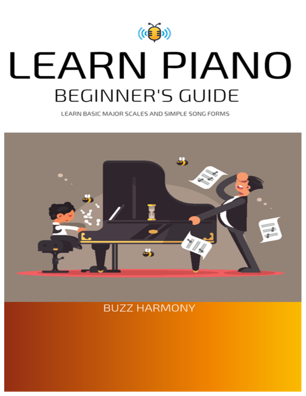

## LEARN PIANO **BEGINNER'S GUIDE**

LEARN BASIC MAJOR SCALES AND SIMPLE SONG FORMS



**BUZZ HARMONY**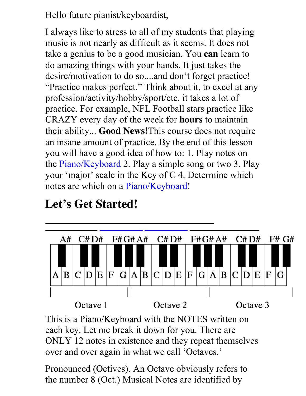Hello future pianist/keyboardist,

I always like to stress to all of my students that playing music is not nearly as difficult as it seems. It does not take a genius to be a good musician. You **can** learn to do amazing things with your hands. It just takes the desire/motivation to do so....and don't forget practice! "Practice makes perfect." Think about it, to excel at any profession/activity/hobby/sport/etc. it takes a lot of practice. For example, NFL Football stars practice like CRAZY every day of the week for **hours** to maintain their ability... **Good News!**This course does not require an insane amount of practice. By the end of this lesson you will have a good idea of how to: 1. Play notes on the Piano/Keyboard 2. Play a simple song or two 3. Play your 'major' scale in the Key of C 4. Determine which notes are which on a Piano/Keyboard!



## **Let's Get Started!**

This is a Piano/Keyboard with the NOTES written on each key. Let me break it down for you. There are ONLY 12 notes in existence and they repeat themselves over and over again in what we call 'Octaves.'

Pronounced (Octives). An Octave obviously refers to the number 8 (Oct.) Musical Notes are identified by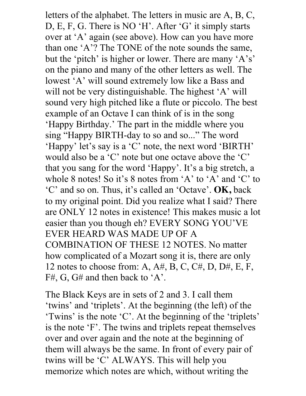letters of the alphabet. The letters in music are A, B, C, D, E, F, G. There is NO 'H'. After 'G' it simply starts over at 'A' again (see above). How can you have more than one 'A'? The TONE of the note sounds the same, but the 'pitch' is higher or lower. There are many 'A's' on the piano and many of the other letters as well. The lowest 'A' will sound extremely low like a Bass and will not be very distinguishable. The highest 'A' will sound very high pitched like a flute or piccolo. The best example of an Octave I can think of is in the song 'Happy Birthday.' The part in the middle where you sing "Happy BIRTH-day to so and so..." The word 'Happy' let's say is a 'C' note, the next word 'BIRTH' would also be a 'C' note but one octave above the 'C' that you sang for the word 'Happy'. It's a big stretch, a whole 8 notes! So it's 8 notes from 'A' to 'A' and 'C' to 'C' and so on. Thus, it's called an 'Octave'. **OK,** back to my original point. Did you realize what I said? There are ONLY 12 notes in existence! This makes music a lot easier than you though eh? EVERY SONG YOU'VE EVER HEARD WAS MADE UP OF A COMBINATION OF THESE 12 NOTES. No matter how complicated of a Mozart song it is, there are only 12 notes to choose from: A,  $A#$ , B, C, C#, D, D#, E, F, F#, G, G# and then back to  $'A$ .

The Black Keys are in sets of 2 and 3. I call them 'twins' and 'triplets'. At the beginning (the left) of the 'Twins' is the note 'C'. At the beginning of the 'triplets' is the note 'F'. The twins and triplets repeat themselves over and over again and the note at the beginning of them will always be the same. In front of every pair of twins will be 'C' ALWAYS. This will help you memorize which notes are which, without writing the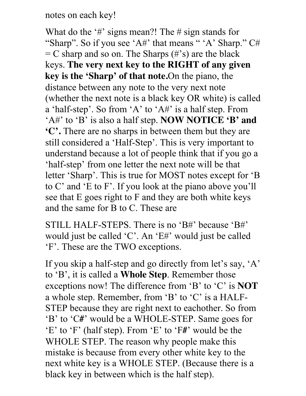notes on each key!

What do the '#' signs mean?! The  $#$  sign stands for "Sharp". So if you see 'A#' that means " 'A' Sharp."  $C#$  $=$  C sharp and so on. The Sharps  $(\# \text{'s})$  are the black keys. **The very next key to the RIGHT of any given key is the 'Sharp' of that note.**On the piano, the distance between any note to the very next note (whether the next note is a black key OR white) is called a 'half-step'. So from 'A' to 'A#' is a half step. From 'A#' to 'B' is also a half step. **NOW NOTICE 'B' and 'C'.** There are no sharps in between them but they are still considered a 'Half-Step'. This is very important to understand because a lot of people think that if you go a 'half-step' from one letter the next note will be that letter 'Sharp'. This is true for MOST notes except for 'B to C' and 'E to F'. If you look at the piano above you'll see that E goes right to F and they are both white keys and the same for B to C. These are

STILL HALF-STEPS. There is no 'B#' because 'B#' would just be called 'C'. An 'E#' would just be called 'F'. These are the TWO exceptions.

If you skip a half-step and go directly from let's say, 'A' to 'B', it is called a **Whole Step**. Remember those exceptions now! The difference from 'B' to 'C' is **NOT**  a whole step. Remember, from 'B' to 'C' is a HALF-STEP because they are right next to eachother. So from 'B' to 'C**#**' would be a WHOLE-STEP. Same goes for 'E' to 'F' (half step). From 'E' to 'F**#**' would be the WHOLE STEP. The reason why people make this mistake is because from every other white key to the next white key is a WHOLE STEP. (Because there is a black key in between which is the half step).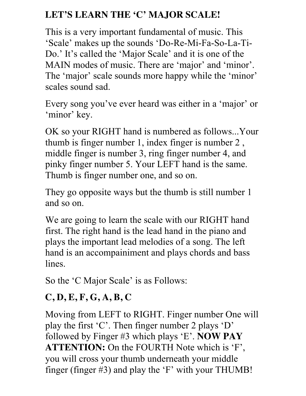## **LET'S LEARN THE 'C' MAJOR SCALE!**

This is a very important fundamental of music. This 'Scale' makes up the sounds 'Do-Re-Mi-Fa-So-La-Ti-Do.' It's called the 'Major Scale' and it is one of the MAIN modes of music. There are 'major' and 'minor'. The 'major' scale sounds more happy while the 'minor' scales sound sad.

Every song you've ever heard was either in a 'major' or 'minor' key.

OK so your RIGHT hand is numbered as follows...Your thumb is finger number 1, index finger is number 2 , middle finger is number 3, ring finger number 4, and pinky finger number 5. Your LEFT hand is the same. Thumb is finger number one, and so on.

They go opposite ways but the thumb is still number 1 and so on.

We are going to learn the scale with our RIGHT hand first. The right hand is the lead hand in the piano and plays the important lead melodies of a song. The left hand is an accompainiment and plays chords and bass lines.

So the 'C Major Scale' is as Follows:

## **C, D, E, F, G, A, B, C**

Moving from LEFT to RIGHT. Finger number One will play the first 'C'. Then finger number 2 plays 'D' followed by Finger #3 which plays 'E'. **NOW PAY ATTENTION:** On the FOURTH Note which is 'F', you will cross your thumb underneath your middle finger (finger #3) and play the 'F' with your THUMB!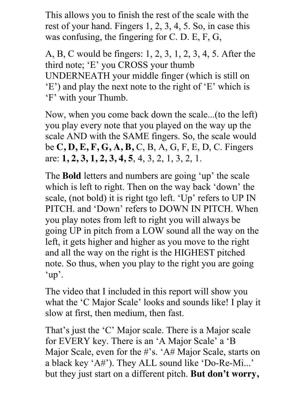This allows you to finish the rest of the scale with the rest of your hand. Fingers 1, 2, 3, 4, 5. So, in case this was confusing, the fingering for C. D. E, F, G,

A, B, C would be fingers: 1, 2, 3, 1, 2, 3, 4, 5. After the third note; 'E' you CROSS your thumb UNDERNEATH your middle finger (which is still on 'E') and play the next note to the right of 'E' which is 'F' with your Thumb.

Now, when you come back down the scale...(to the left) you play every note that you played on the way up the scale AND with the SAME fingers. So, the scale would be **C, D, E, F, G, A, B,** C, B, A, G, F, E, D, C. Fingers are: **1, 2, 3, 1, 2, 3, 4, 5**, 4, 3, 2, 1, 3, 2, 1.

The **Bold** letters and numbers are going 'up' the scale which is left to right. Then on the way back 'down' the scale, (not bold) it is right tgo left. 'Up' refers to UP IN PITCH. and 'Down' refers to DOWN IN PITCH. When you play notes from left to right you will always be going UP in pitch from a LOW sound all the way on the left, it gets higher and higher as you move to the right and all the way on the right is the HIGHEST pitched note. So thus, when you play to the right you are going 'up'.

The video that I included in this report will show you what the 'C Major Scale' looks and sounds like! I play it slow at first, then medium, then fast.

That's just the 'C' Major scale. There is a Major scale for EVERY key. There is an 'A Major Scale' a 'B Major Scale, even for the #'s. 'A# Major Scale, starts on a black key 'A#'). They ALL sound like 'Do-Re-Mi...' but they just start on a different pitch. **But don't worry,**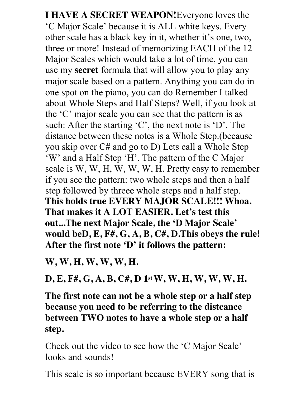**I HAVE A SECRET WEAPON!**Everyone loves the 'C Major Scale' because it is ALL white keys. Every other scale has a black key in it, whether it's one, two, three or more! Instead of memorizing EACH of the 12 Major Scales which would take a lot of time, you can use my **secret** formula that will allow you to play any major scale based on a pattern. Anything you can do in one spot on the piano, you can do Remember I talked about Whole Steps and Half Steps? Well, if you look at the 'C' major scale you can see that the pattern is as such: After the starting 'C', the next note is 'D'. The distance between these notes is a Whole Step.(because you skip over C# and go to D) Lets call a Whole Step 'W' and a Half Step 'H'. The pattern of the C Major scale is W, W, H, W, W, W, H. Pretty easy to remember if you see the pattern: two whole steps and then a half step followed by threee whole steps and a half step. **This holds true EVERY MAJOR SCALE!!! Whoa. That makes it A LOT EASIER. Let's test this out...The next Major Scale, the 'D Major Scale' would beD, E, F#, G, A, B, C#, D.This obeys the rule! After the first note 'D' it follows the pattern:** 

**W, W, H, W, W, W, H.** 

**D, E, F#, G, A, B, C#, D 1st W, W, H, W, W, W, H.** 

**The first note can not be a whole step or a half step because you need to be referring to the distcance between TWO notes to have a whole step or a half step.** 

Check out the video to see how the 'C Major Scale' looks and sounds!

This scale is so important because EVERY song that is